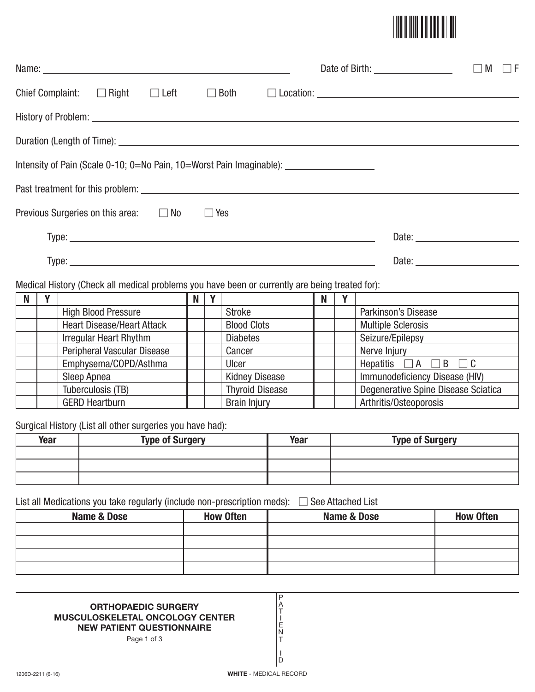

|                                                                                                                                                                                                                                      |  |             |  | Date of Birth: ___________________ | M<br>l IF<br>$\Box$ |
|--------------------------------------------------------------------------------------------------------------------------------------------------------------------------------------------------------------------------------------|--|-------------|--|------------------------------------|---------------------|
| Chief Complaint: $\Box$ Right $\Box$ Left                                                                                                                                                                                            |  | $\Box$ Both |  |                                    |                     |
| History of Problem: <u>example and the second contract of the second contract of the second contract of the second contract of the second contract of the second contract of the second contract of the second contract of the s</u> |  |             |  |                                    |                     |
|                                                                                                                                                                                                                                      |  |             |  |                                    |                     |
| Intensity of Pain (Scale 0-10; 0=No Pain, 10=Worst Pain Imaginable): __________________                                                                                                                                              |  |             |  |                                    |                     |
|                                                                                                                                                                                                                                      |  |             |  |                                    |                     |
| Previous Surgeries on this area: $\Box$ No                                                                                                                                                                                           |  | $\Box$ Yes  |  |                                    |                     |
|                                                                                                                                                                                                                                      |  |             |  |                                    |                     |
|                                                                                                                                                                                                                                      |  |             |  |                                    |                     |
| Medical History (Check all medical problems you have been or currently are being treated for):                                                                                                                                       |  |             |  |                                    |                     |

| N |                                    | N | $\mathbf{v}$ |                        | N |                                     |
|---|------------------------------------|---|--------------|------------------------|---|-------------------------------------|
|   | <b>High Blood Pressure</b>         |   |              | <b>Stroke</b>          |   | Parkinson's Disease                 |
|   | <b>Heart Disease/Heart Attack</b>  |   |              | <b>Blood Clots</b>     |   | <b>Multiple Sclerosis</b>           |
|   | <b>Irregular Heart Rhythm</b>      |   |              | <b>Diabetes</b>        |   | Seizure/Epilepsy                    |
|   | <b>Peripheral Vascular Disease</b> |   |              | Cancer                 |   | Nerve Injury                        |
|   | Emphysema/COPD/Asthma              |   |              | Ulcer                  |   | Hepatitis $\Box A \Box B \Box C$    |
|   | Sleep Apnea                        |   |              | <b>Kidney Disease</b>  |   | Immunodeficiency Disease (HIV)      |
|   | Tuberculosis (TB)                  |   |              | <b>Thyroid Disease</b> |   | Degenerative Spine Disease Sciatica |
|   | <b>GERD Heartburn</b>              |   |              | <b>Brain Injury</b>    |   | Arthritis/Osteoporosis              |

Surgical History (List all other surgeries you have had):

| Year | <b>Type of Surgery</b> | Year | <b>Type of Surgery</b> |
|------|------------------------|------|------------------------|
|      |                        |      |                        |
|      |                        |      |                        |
|      |                        |      |                        |

List all Medications you take regularly (include non-prescription meds): - See Attached List

| Name & Dose | <b>How Often</b> | Name & Dose | <b>How Often</b> |
|-------------|------------------|-------------|------------------|
|             |                  |             |                  |
|             |                  |             |                  |
|             |                  |             |                  |
|             |                  |             |                  |

P A T I E N T I D

## **ORTHOPAEDIC SURGERY MUSCULOSKELETAL ONCOLOGY CENTER NEW PATIENT QUESTIONNAIRE**

Page 1 of 3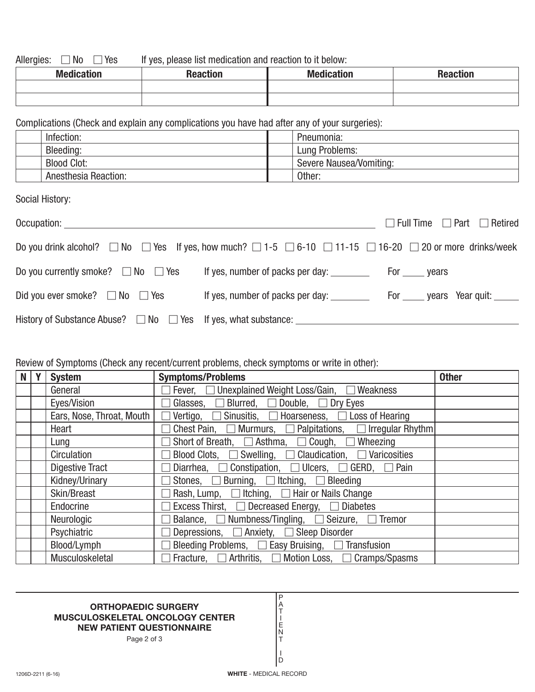Allergies:  $\Box$  No  $\Box$ If yes, please list medication and reaction to it below:

| <b>Medication</b> | <b>Donotion</b> | <b>Medication</b> | <b>Penotion</b><br>neacuon |
|-------------------|-----------------|-------------------|----------------------------|
|                   |                 |                   |                            |
|                   |                 |                   |                            |

Complications (Check and explain any complications you have had after any of your surgeries):

| Infection: |                             | Pneumonia:              |
|------------|-----------------------------|-------------------------|
| Bleeding:  |                             | Lung Problems:          |
|            | <b>Blood Clot:</b>          | Severe Nausea/Vomiting: |
|            | <b>Anesthesia Reaction:</b> | Other:                  |

Social History:

| Occupation: _____________                                                                                                                   |                                  | $\Box$ Full Time $\Box$ Part $\Box$ Retired |
|---------------------------------------------------------------------------------------------------------------------------------------------|----------------------------------|---------------------------------------------|
| Do you drink alcohol? $\Box$ No $\Box$ Yes If yes, how much? $\Box$ 1-5 $\Box$ 6-10 $\Box$ 11-15 $\Box$ 16-20 $\Box$ 20 or more drinks/week |                                  |                                             |
| Do you currently smoke? $\Box$ No $\Box$ Yes                                                                                                |                                  |                                             |
| Did you ever smoke? $\Box$ No $\Box$ Yes                                                                                                    | If yes, number of packs per day: | For ______ years Year quit: ______          |
|                                                                                                                                             |                                  |                                             |

## Review of Symptoms (Check any recent/current problems, check symptoms or write in other):

| N | Y | <b>System</b>             | <b>Symptoms/Problems</b>                                                        | <b>Other</b> |
|---|---|---------------------------|---------------------------------------------------------------------------------|--------------|
|   |   | General                   | $\Box$ Fever, $\Box$ Unexplained Weight Loss/Gain, $\Box$ Weakness              |              |
|   |   | Eyes/Vision               | $\Box$ Glasses, $\Box$ Blurred, $\Box$ Double, $\Box$ Dry Eyes                  |              |
|   |   | Ears, Nose, Throat, Mouth | $\Box$ Vertigo, $\Box$ Sinusitis, $\Box$ Hoarseness, $\Box$ Loss of Hearing     |              |
|   |   | Heart                     | $\Box$ Chest Pain, $\Box$ Murmurs, $\Box$ Palpitations, $\Box$ Irregular Rhythm |              |
|   |   | Lung                      | $\Box$ Short of Breath, $\Box$ Asthma, $\Box$ Cough, $\Box$ Wheezing            |              |
|   |   | Circulation               | Blood Clots, $\Box$ Swelling, $\Box$ Claudication, $\Box$ Varicosities          |              |
|   |   | <b>Digestive Tract</b>    | Diarrhea, $\Box$ Constipation, $\Box$ Ulcers, $\Box$ GERD, $\Box$ Pain          |              |
|   |   | Kidney/Urinary            | $\Box$ Stones, $\Box$ Burning, $\Box$ Itching, $\Box$ Bleeding                  |              |
|   |   | Skin/Breast               | $\Box$ Rash, Lump, $\Box$ Itching, $\Box$ Hair or Nails Change                  |              |
|   |   | Endocrine                 | Excess Thirst, $\Box$ Decreased Energy, $\Box$ Diabetes                         |              |
|   |   | Neurologic                | Balance, $\Box$ Numbness/Tingling, $\Box$ Seizure, $\Box$ Tremor                |              |
|   |   | Psychiatric               | Depressions, $\Box$ Anxiety, $\Box$ Sleep Disorder                              |              |
|   |   | Blood/Lymph               | Bleeding Problems, $\Box$ Easy Bruising, $\Box$ Transfusion                     |              |
|   |   | Musculoskeletal           | $\Box$ Fracture, $\Box$ Arthritis, $\Box$ Motion Loss, $\Box$ Cramps/Spasms     |              |

## **ORTHOPAEDIC SURGERY MUSCULOSKELETAL ONCOLOGY CENTER NEW PATIENT QUESTIONNAIRE**

Page 2 of 3

I D

P